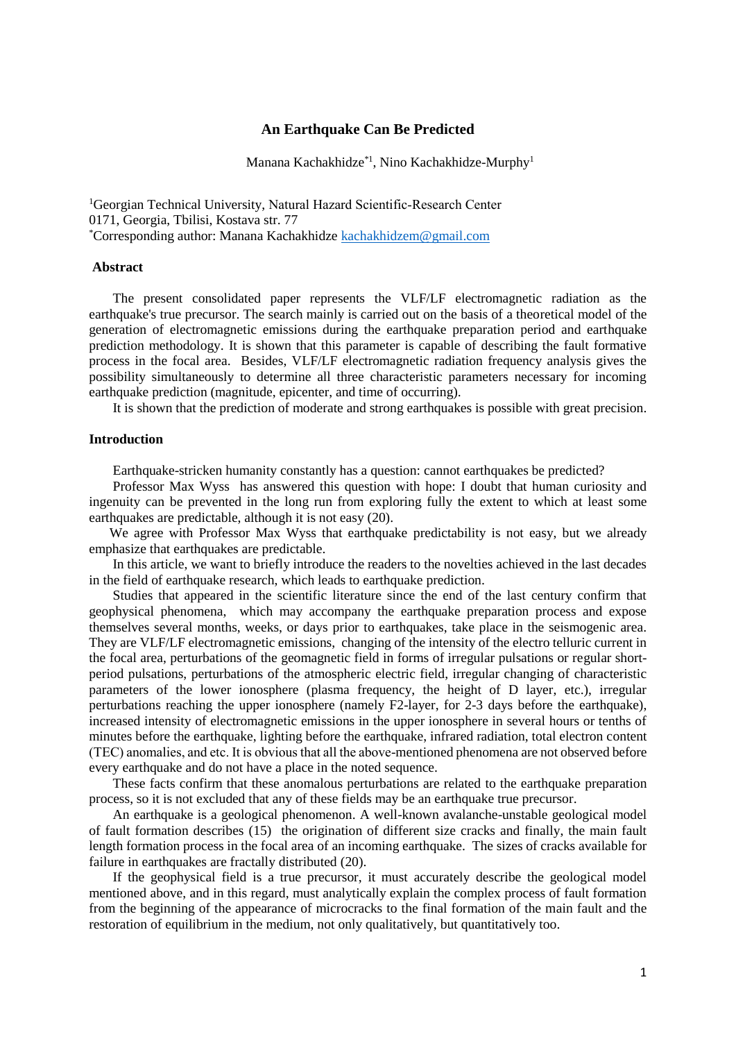## **An Earthquake Can Be Predicted**

Manana Kachakhidze<sup>\*1</sup>, Nino Kachakhidze-Murphy<sup>1</sup>

<sup>1</sup>Georgian Technical University, Natural Hazard Scientific‐Research Center 0171, Georgia, Tbilisi, Kostava str. 77 \*Corresponding author: Manana Kachakhidze [kachakhidzem@gmail.com](mailto:kachakhidzem@gmail.com)

#### **Abstract**

 The present consolidated paper represents the VLF/LF electromagnetic radiation as the earthquake's true precursor. The search mainly is carried out on the basis of a theoretical model of the generation of electromagnetic emissions during the earthquake preparation period and earthquake prediction methodology. It is shown that this parameter is capable of describing the fault formative process in the focal area. Besides, VLF/LF electromagnetic radiation frequency analysis gives the possibility simultaneously to determine all three characteristic parameters necessary for incoming earthquake prediction (magnitude, epicenter, and time of occurring).

It is shown that the prediction of moderate and strong earthquakes is possible with great precision.

## **Introduction**

Earthquake-stricken humanity constantly has a question: cannot earthquakes be predicted?

 Professor Max Wyss has answered this question with hope: I doubt that human curiosity and ingenuity can be prevented in the long run from exploring fully the extent to which at least some earthquakes are predictable, although it is not easy (20).

 We agree with Professor Max Wyss that earthquake predictability is not easy, but we already emphasize that earthquakes are predictable.

 In this article, we want to briefly introduce the readers to the novelties achieved in the last decades in the field of earthquake research, which leads to earthquake prediction.

 Studies that appeared in the scientific literature since the end of the last century confirm that geophysical phenomena, which may accompany the earthquake preparation process and expose themselves several months, weeks, or days prior to earthquakes, take place in the seismogenic area. They are VLF/LF electromagnetic emissions, changing of the intensity of the electro telluric current in the focal area, perturbations of the geomagnetic field in forms of irregular pulsations or regular shortperiod pulsations, perturbations of the atmospheric electric field, irregular changing of characteristic parameters of the lower ionosphere (plasma frequency, the height of D layer, etc.), irregular perturbations reaching the upper ionosphere (namely F2-layer, for 2-3 days before the earthquake), increased intensity of electromagnetic emissions in the upper ionosphere in several hours or tenths of minutes before the earthquake, lighting before the earthquake, infrared radiation, total electron content (TEC) anomalies, and etс. It is obvious that all the above-mentioned phenomena are not observed before every earthquake and do not have a place in the noted sequence.

 These facts confirm that these anomalous perturbations are related to the earthquake preparation process, so it is not excluded that any of these fields may be an earthquake true precursor.

 An earthquake is a geological phenomenon. A well-known avalanche-unstable geological model of fault formation describes (15) the origination of different size cracks and finally, the main fault length formation process in the focal area of an incoming earthquake. The sizes of cracks available for failure in earthquakes are fractally distributed (20).

 If the geophysical field is a true precursor, it must accurately describe the geological model mentioned above, and in this regard, must analytically explain the complex process of fault formation from the beginning of the appearance of microcracks to the final formation of the main fault and the restoration of equilibrium in the medium, not only qualitatively, but quantitatively too.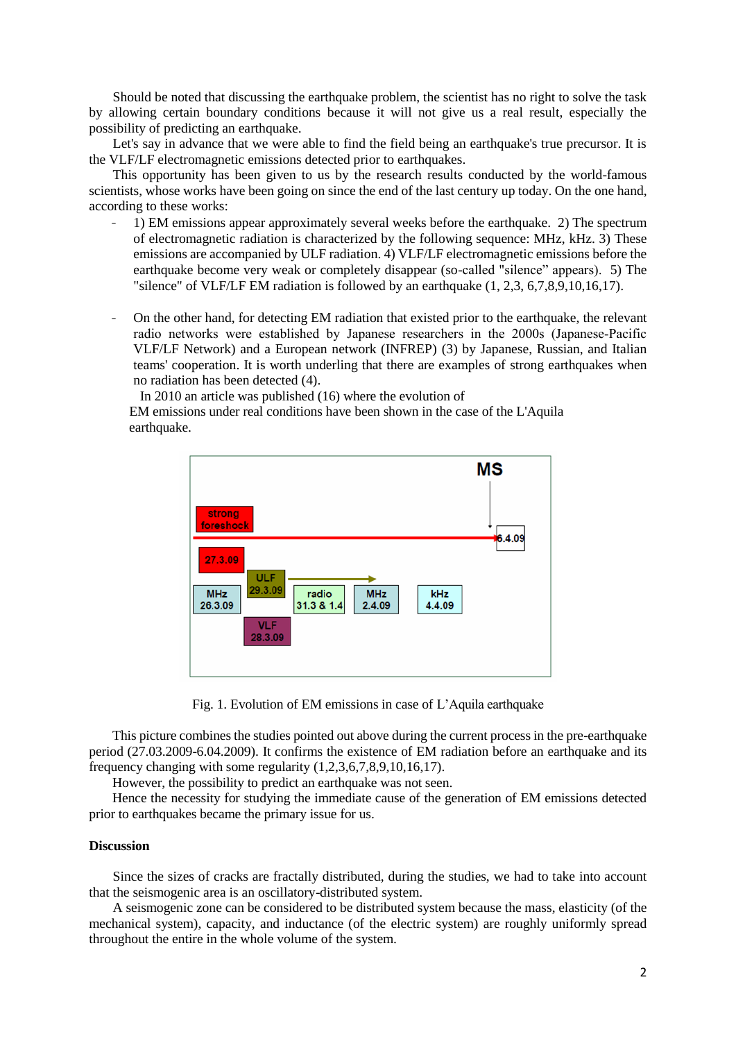Should be noted that discussing the earthquake problem, the scientist has no right to solve the task by allowing certain boundary conditions because it will not give us a real result, especially the possibility of predicting an earthquake.

Let's say in advance that we were able to find the field being an earthquake's true precursor. It is the VLF/LF electromagnetic emissions detected prior to earthquakes.

 This opportunity has been given to us by the research results conducted by the world-famous scientists, whose works have been going on since the end of the last century up today. On the one hand, according to these works:

- 1) EM emissions appear approximately several weeks before the earthquake. 2) The spectrum of electromagnetic radiation is characterized by the following sequence: MHz, kHz. 3) These emissions are accompanied by ULF radiation. 4) VLF/LF electromagnetic emissions before the earthquake become very weak or completely disappear (so-called "silence" appears). 5) The "silence" of VLF/LF EM radiation is followed by an earthquake (1, 2,3, 6,7,8,9,10,16,17).
- On the other hand, for detecting EM radiation that existed prior to the earthquake, the relevant radio networks were established by Japanese researchers in the 2000s (Japanese‐Pacific VLF/LF Network) and a European network (INFREP) (3) by Japanese, Russian, and Italian teams' cooperation. It is worth underling that there are examples of strong earthquakes when no radiation has been detected (4).

 In 2010 an article was published (16) where the evolution of EM emissions under real conditions have been shown in the case of the L'Aquila

earthquake.



Fig. 1. Evolution of EM emissions in case of L'Aquila earthquake

 This picture combines the studies pointed out above during the current process in the pre-earthquake period (27.03.2009-6.04.2009). It confirms the existence of EM radiation before an earthquake and its frequency changing with some regularity (1,2,3,6,7,8,9,10,16,17).

However, the possibility to predict an earthquake was not seen.

 Hence the necessity for studying the immediate cause of the generation of EM emissions detected prior to earthquakes became the primary issue for us.

### **Discussion**

 Since the sizes of cracks are fractally distributed, during the studies, we had to take into account that the seismogenic area is an oscillatory-distributed system.

 A seismogenic zone can be considered to be distributed system because the mass, elasticity (of the mechanical system), capacity, and inductance (of the electric system) are roughly uniformly spread throughout the entire in the whole volume of the system.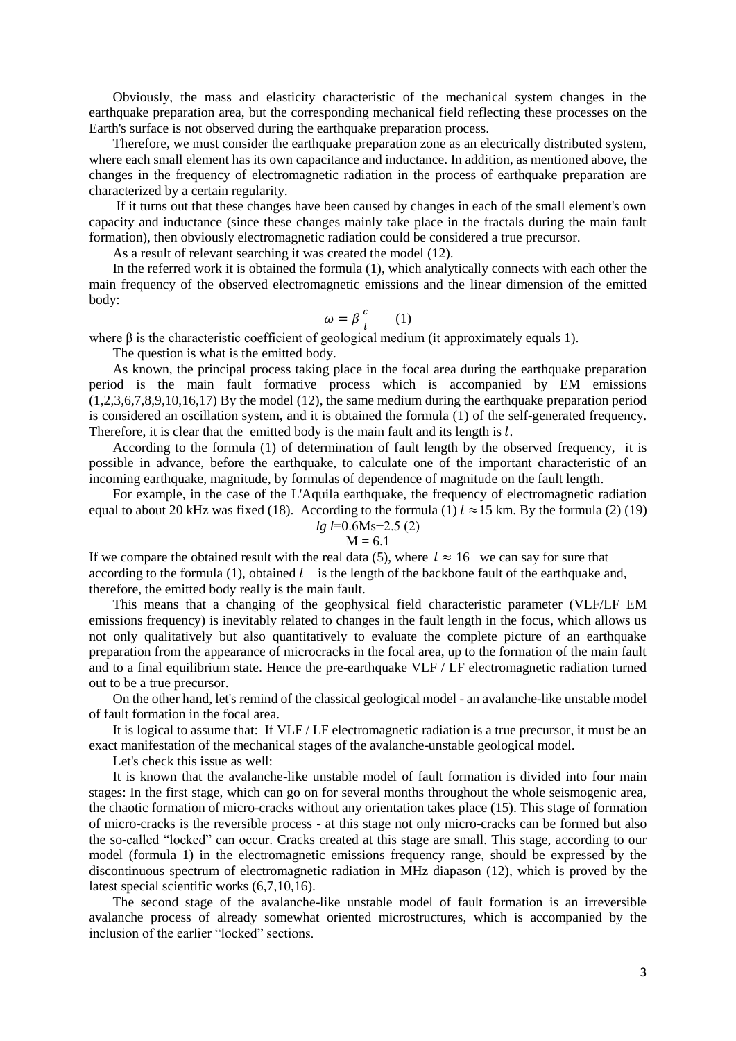Obviously, the mass and elasticity characteristic of the mechanical system changes in the earthquake preparation area, but the corresponding mechanical field reflecting these processes on the Earth's surface is not observed during the earthquake preparation process.

 Therefore, we must consider the earthquake preparation zone as an electrically distributed system, where each small element has its own capacitance and inductance. In addition, as mentioned above, the changes in the frequency of electromagnetic radiation in the process of earthquake preparation are characterized by a certain regularity.

 If it turns out that these changes have been caused by changes in each of the small element's own capacity and inductance (since these changes mainly take place in the fractals during the main fault formation), then obviously electromagnetic radiation could be considered a true precursor.

As a result of relevant searching it was created the model (12).

 In the referred work it is obtained the formula (1), which analytically connects with each other the main frequency of the observed electromagnetic emissions and the linear dimension of the emitted body:

$$
\omega = \beta \frac{c}{l} \qquad (1)
$$

where  $\beta$  is the characteristic coefficient of geological medium (it approximately equals 1).

The question is what is the emitted body.

 As known, the principal process taking place in the focal area during the earthquake preparation period is the main fault formative process which is accompanied by EM emissions  $(1,2,3,6,7,8,9,10,16,17)$  By the model (12), the same medium during the earthquake preparation period is considered an oscillation system, and it is obtained the formula (1) of the self-generated frequency. Therefore, it is clear that the emitted body is the main fault and its length is  $l$ .

 According to the formula (1) of determination of fault length by the observed frequency, it is possible in advance, before the earthquake, to calculate one of the important characteristic of an incoming earthquake, magnitude, by formulas of dependence of magnitude on the fault length.

 For example, in the case of the L'Aquila earthquake, the frequency of electromagnetic radiation equal to about 20 kHz was fixed (18). According to the formula (1)  $l \approx 15$  km. By the formula (2) (19) *lg l*=0.6Ms−2.5 (2)

$$
M = 6.1
$$

If we compare the obtained result with the real data (5), where  $l \approx 16$  we can say for sure that according to the formula (1), obtained  $l$  is the length of the backbone fault of the earthquake and, therefore, the emitted body really is the main fault.

 This means that a changing of the geophysical field characteristic parameter (VLF/LF EM emissions frequency) is inevitably related to changes in the fault length in the focus, which allows us not only qualitatively but also quantitatively to evaluate the complete picture of an earthquake preparation from the appearance of microcracks in the focal area, up to the formation of the main fault and to a final equilibrium state. Hence the pre-earthquake VLF / LF electromagnetic radiation turned out to be a true precursor.

 On the other hand, let's remind of the classical geological model - an avalanche-like unstable model of fault formation in the focal area.

 It is logical to assume that: If VLF / LF electromagnetic radiation is a true precursor, it must be an exact manifestation of the mechanical stages of the avalanche-unstable geological model.

Let's check this issue as well:

 It is known that the avalanche-like unstable model of fault formation is divided into four main stages: In the first stage, which can go on for several months throughout the whole seismogenic area, the chaotic formation of micro-cracks without any orientation takes place (15). This stage of formation of micro-cracks is the reversible process - at this stage not only micro-cracks can be formed but also the so-called "locked" can occur. Cracks created at this stage are small. This stage, according to our model (formula 1) in the electromagnetic emissions frequency range, should be expressed by the discontinuous spectrum of electromagnetic radiation in MHz diapason (12), which is proved by the latest special scientific works (6,7,10,16).

 The second stage of the avalanche-like unstable model of fault formation is an irreversible avalanche process of already somewhat oriented microstructures, which is accompanied by the inclusion of the earlier "locked" sections.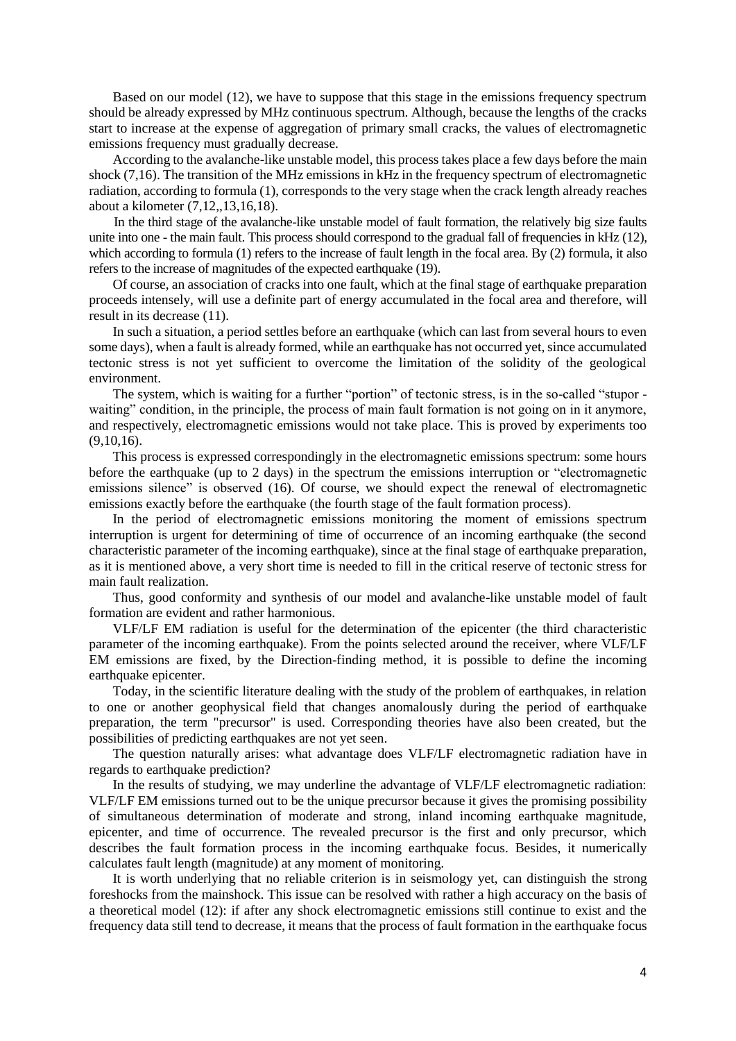Based on our model (12), we have to suppose that this stage in the emissions frequency spectrum should be already expressed by MHz continuous spectrum. Although, because the lengths of the cracks start to increase at the expense of aggregation of primary small cracks, the values of electromagnetic emissions frequency must gradually decrease.

 According to the avalanche-like unstable model, this process takes place a few days before the main shock (7,16). The transition of the MHz emissions in kHz in the frequency spectrum of electromagnetic radiation, according to formula (1), corresponds to the very stage when the crack length already reaches about a kilometer (7,12,,13,16,18).

 In the third stage of the avalanche-like unstable model of fault formation, the relatively big size faults unite into one - the main fault. This process should correspond to the gradual fall of frequencies in kHz (12), which according to formula (1) refers to the increase of fault length in the focal area. By (2) formula, it also refers to the increase of magnitudes of the expected earthquake (19).

 Of course, an association of cracks into one fault, which at the final stage of earthquake preparation proceeds intensely, will use a definite part of energy accumulated in the focal area and therefore, will result in its decrease (11).

 In such a situation, a period settles before an earthquake (which can last from several hours to even some days), when a fault is already formed, while an earthquake has not occurred yet, since accumulated tectonic stress is not yet sufficient to overcome the limitation of the solidity of the geological environment.

 The system, which is waiting for a further "portion" of tectonic stress, is in the so-called "stupor waiting" condition, in the principle, the process of main fault formation is not going on in it anymore, and respectively, electromagnetic emissions would not take place. This is proved by experiments too (9,10,16).

 This process is expressed correspondingly in the electromagnetic emissions spectrum: some hours before the earthquake (up to 2 days) in the spectrum the emissions interruption or "electromagnetic emissions silence" is observed (16). Of course, we should expect the renewal of electromagnetic emissions exactly before the earthquake (the fourth stage of the fault formation process).

 In the period of electromagnetic emissions monitoring the moment of emissions spectrum interruption is urgent for determining of time of occurrence of an incoming earthquake (the second characteristic parameter of the incoming earthquake), since at the final stage of earthquake preparation, as it is mentioned above, a very short time is needed to fill in the critical reserve of tectonic stress for main fault realization.

 Thus, good conformity and synthesis of our model and avalanche-like unstable model of fault formation are evident and rather harmonious.

 VLF/LF EM radiation is useful for the determination of the epicenter (the third characteristic parameter of the incoming earthquake). From the points selected around the receiver, where VLF/LF EM emissions are fixed, by the Direction-finding method, it is possible to define the incoming earthquake epicenter.

 Today, in the scientific literature dealing with the study of the problem of earthquakes, in relation to one or another geophysical field that changes anomalously during the period of earthquake preparation, the term "precursor" is used. Corresponding theories have also been created, but the possibilities of predicting earthquakes are not yet seen.

 The question naturally arises: what advantage does VLF/LF electromagnetic radiation have in regards to earthquake prediction?

 In the results of studying, we may underline the advantage of VLF/LF electromagnetic radiation: VLF/LF EM emissions turned out to be the unique precursor because it gives the promising possibility of simultaneous determination of moderate and strong, inland incoming earthquake magnitude, epicenter, and time of occurrence. The revealed precursor is the first and only precursor, which describes the fault formation process in the incoming earthquake focus. Besides, it numerically calculates fault length (magnitude) at any moment of monitoring.

 It is worth underlying that no reliable criterion is in seismology yet, can distinguish the strong foreshocks from the mainshock. This issue can be resolved with rather a high accuracy on the basis of a theoretical model (12): if after any shock electromagnetic emissions still continue to exist and the frequency data still tend to decrease, it means that the process of fault formation in the earthquake focus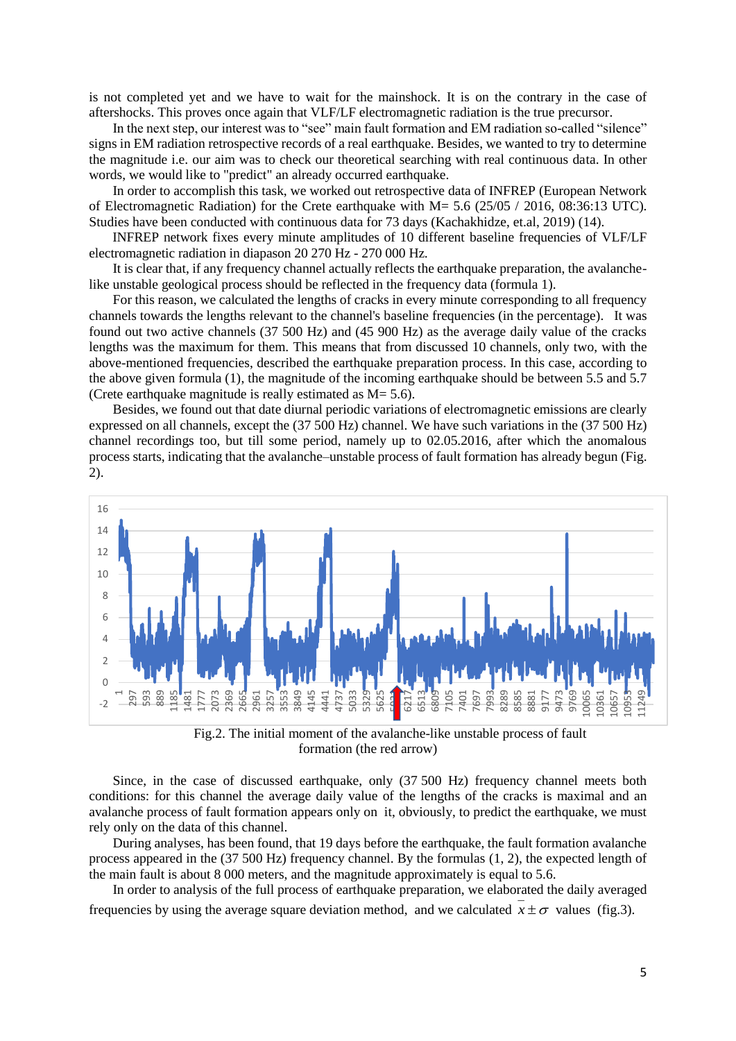is not completed yet and we have to wait for the mainshock. It is on the contrary in the case of aftershocks. This proves once again that VLF/LF electromagnetic radiation is the true precursor.

 In the next step, our interest was to "see" main fault formation and EM radiation so-called "silence" signs in EM radiation retrospective records of a real earthquake. Besides, we wanted to try to determine the magnitude i.e. our aim was to check our theoretical searching with real continuous data. In other words, we would like to "predict" an already occurred earthquake.

 In order to accomplish this task, we worked out retrospective data of INFREP (European Network of Electromagnetic Radiation) for the Crete earthquake with M= 5.6 (25/05 / 2016, 08:36:13 UTC). Studies have been conducted with continuous data for 73 days (Kachakhidze, et.al, 2019) (14).

 INFREP network fixes every minute amplitudes of 10 different baseline frequencies of VLF/LF electromagnetic radiation in diapason 20 270 Hz - 270 000 Hz.

 It is clear that, if any frequency channel actually reflects the earthquake preparation, the avalanchelike unstable geological process should be reflected in the frequency data (formula 1).

 For this reason, we calculated the lengths of cracks in every minute corresponding to all frequency channels towards the lengths relevant to the channel's baseline frequencies (in the percentage). It was found out two active channels (37 500 Hz) and (45 900 Hz) as the average daily value of the cracks lengths was the maximum for them. This means that from discussed 10 channels, only two, with the above-mentioned frequencies, described the earthquake preparation process. In this case, according to the above given formula (1), the magnitude of the incoming earthquake should be between 5.5 and 5.7 (Crete earthquake magnitude is really estimated as  $M = 5.6$ ).

 Besides, we found out that date diurnal periodic variations of electromagnetic emissions are clearly expressed on all channels, except the (37 500 Hz) channel. We have such variations in the (37 500 Hz) channel recordings too, but till some period, namely up to 02.05.2016, after which the anomalous process starts, indicating that the avalanche–unstable process of fault formation has already begun (Fig. 2).



Fig.2. The initial moment of the avalanche-like unstable process of fault formation (the red arrow)

 Since, in the case of discussed earthquake, only (37 500 Hz) frequency channel meets both conditions: for this channel the average daily value of the lengths of the cracks is maximal and an avalanche process of fault formation appears only on it, obviously, to predict the earthquake, we must rely only on the data of this channel.

 During analyses, has been found, that 19 days before the earthquake, the fault formation avalanche process appeared in the (37 500 Hz) frequency channel. By the formulas (1, 2), the expected length of the main fault is about 8 000 meters, and the magnitude approximately is equal to 5.6.

 In order to analysis of the full process of earthquake preparation, we elaborated the daily averaged frequencies by using the average square deviation method, and we calculated  $x \pm \sigma$  values (fig.3).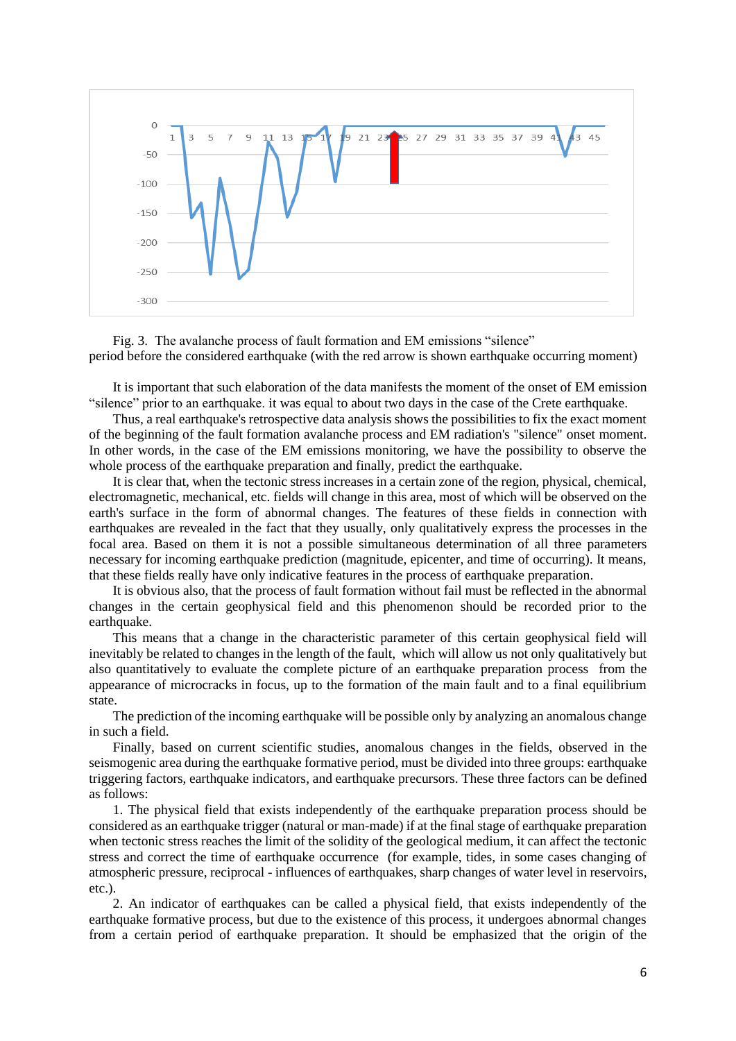

 Fig. 3. The avalanche process of fault formation and EM emissions "silence" period before the considered earthquake (with the red arrow is shown earthquake occurring moment)

 It is important that such elaboration of the data manifests the moment of the onset of EM emission "silence" prior to an earthquake. it was equal to about two days in the case of the Crete earthquake.

 Thus, a real earthquake's retrospective data analysis shows the possibilities to fix the exact moment of the beginning of the fault formation avalanche process and EM radiation's "silence" onset moment. In other words, in the case of the EM emissions monitoring, we have the possibility to observe the whole process of the earthquake preparation and finally, predict the earthquake.

 It is clear that, when the tectonic stress increases in a certain zone of the region, physical, chemical, electromagnetic, mechanical, etc. fields will change in this area, most of which will be observed on the earth's surface in the form of abnormal changes. The features of these fields in connection with earthquakes are revealed in the fact that they usually, only qualitatively express the processes in the focal area. Based on them it is not a possible simultaneous determination of all three parameters necessary for incoming earthquake prediction (magnitude, epicenter, and time of occurring). It means, that these fields really have only indicative features in the process of earthquake preparation.

 It is obvious also, that the process of fault formation without fail must be reflected in the abnormal changes in the certain geophysical field and this phenomenon should be recorded prior to the earthquake.

 This means that a change in the characteristic parameter of this certain geophysical field will inevitably be related to changes in the length of the fault, which will allow us not only qualitatively but also quantitatively to evaluate the complete picture of an earthquake preparation process from the appearance of microcracks in focus, up to the formation of the main fault and to a final equilibrium state.

 The prediction of the incoming earthquake will be possible only by analyzing an anomalous change in such a field.

 Finally, based on current scientific studies, anomalous changes in the fields, observed in the seismogenic area during the earthquake formative period, must be divided into three groups: earthquake triggering factors, earthquake indicators, and earthquake precursors. These three factors can be defined as follows:

 1. The physical field that exists independently of the earthquake preparation process should be considered as an earthquake trigger (natural or man-made) if at the final stage of earthquake preparation when tectonic stress reaches the limit of the solidity of the geological medium, it can affect the tectonic stress and correct the time of earthquake occurrence (for example, tides, in some cases changing of atmospheric pressure, reciprocal - influences of earthquakes, sharp changes of water level in reservoirs, etc.).

 2. An indicator of earthquakes can be called a physical field, that exists independently of the earthquake formative process, but due to the existence of this process, it undergoes abnormal changes from a certain period of earthquake preparation. It should be emphasized that the origin of the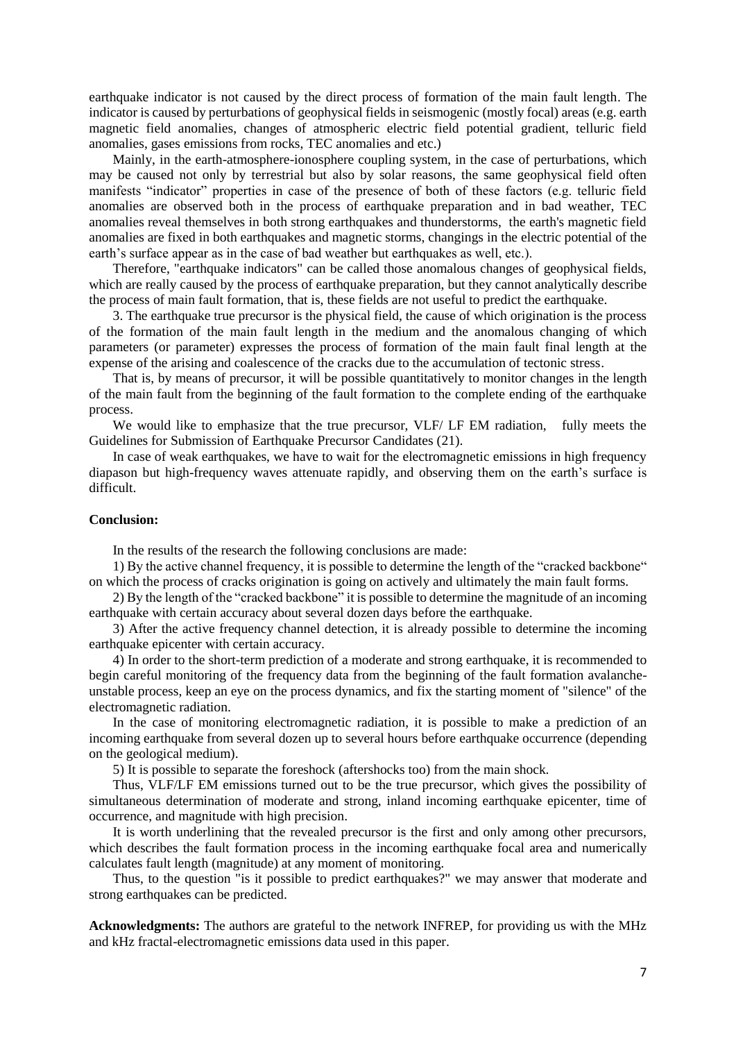earthquake indicator is not caused by the direct process of formation of the main fault length. The indicator is caused by perturbations of geophysical fields in seismogenic (mostly focal) areas (e.g. earth magnetic field anomalies, changes of atmospheric electric field potential gradient, telluric field anomalies, gases emissions from rocks, TEC anomalies and etc.)

 Mainly, in the earth-atmosphere-ionosphere coupling system, in the case of perturbations, which may be caused not only by terrestrial but also by solar reasons, the same geophysical field often manifests "indicator" properties in case of the presence of both of these factors (e.g. telluric field anomalies are observed both in the process of earthquake preparation and in bad weather, TEC anomalies reveal themselves in both strong earthquakes and thunderstorms, the earth's magnetic field anomalies are fixed in both earthquakes and magnetic storms, changings in the electric potential of the earth's surface appear as in the case of bad weather but earthquakes as well, etc.).

 Therefore, "earthquake indicators" can be called those anomalous changes of geophysical fields, which are really caused by the process of earthquake preparation, but they cannot analytically describe the process of main fault formation, that is, these fields are not useful to predict the earthquake.

 3. The earthquake true precursor is the physical field, the cause of which origination is the process of the formation of the main fault length in the medium and the anomalous changing of which parameters (or parameter) expresses the process of formation of the main fault final length at the expense of the arising and coalescence of the cracks due to the accumulation of tectonic stress.

 That is, by means of precursor, it will be possible quantitatively to monitor changes in the length of the main fault from the beginning of the fault formation to the complete ending of the earthquake process.

 We would like to emphasize that the true precursor, VLF/ LF EM radiation, fully meets the Guidelines for Submission of Earthquake Precursor Candidates (21).

In case of weak earthquakes, we have to wait for the electromagnetic emissions in high frequency diapason but high-frequency waves attenuate rapidly, and observing them on the earth's surface is difficult.

#### **Conclusion:**

In the results of the research the following conclusions are made:

 1) By the active channel frequency, it is possible to determine the length of the "cracked backbone" on which the process of cracks origination is going on actively and ultimately the main fault forms.

 2) By the length of the "cracked backbone" it is possible to determine the magnitude of an incoming earthquake with certain accuracy about several dozen days before the earthquake.

 3) After the active frequency channel detection, it is already possible to determine the incoming earthquake epicenter with certain accuracy.

 4) In order to the short-term prediction of a moderate and strong earthquake, it is recommended to begin careful monitoring of the frequency data from the beginning of the fault formation avalancheunstable process, keep an eye on the process dynamics, and fix the starting moment of "silence" of the electromagnetic radiation.

 In the case of monitoring electromagnetic radiation, it is possible to make a prediction of an incoming earthquake from several dozen up to several hours before earthquake occurrence (depending on the geological medium).

5) It is possible to separate the foreshock (aftershocks too) from the main shock.

 Thus, VLF/LF EM emissions turned out to be the true precursor, which gives the possibility of simultaneous determination of moderate and strong, inland incoming earthquake epicenter, time of occurrence, and magnitude with high precision.

 It is worth underlining that the revealed precursor is the first and only among other precursors, which describes the fault formation process in the incoming earthquake focal area and numerically calculates fault length (magnitude) at any moment of monitoring.

 Thus, to the question "is it possible to predict earthquakes?" we may answer that moderate and strong earthquakes can be predicted.

**Acknowledgments:** The authors are grateful to the network INFREP, for providing us with the MHz and kHz fractal-electromagnetic emissions data used in this paper.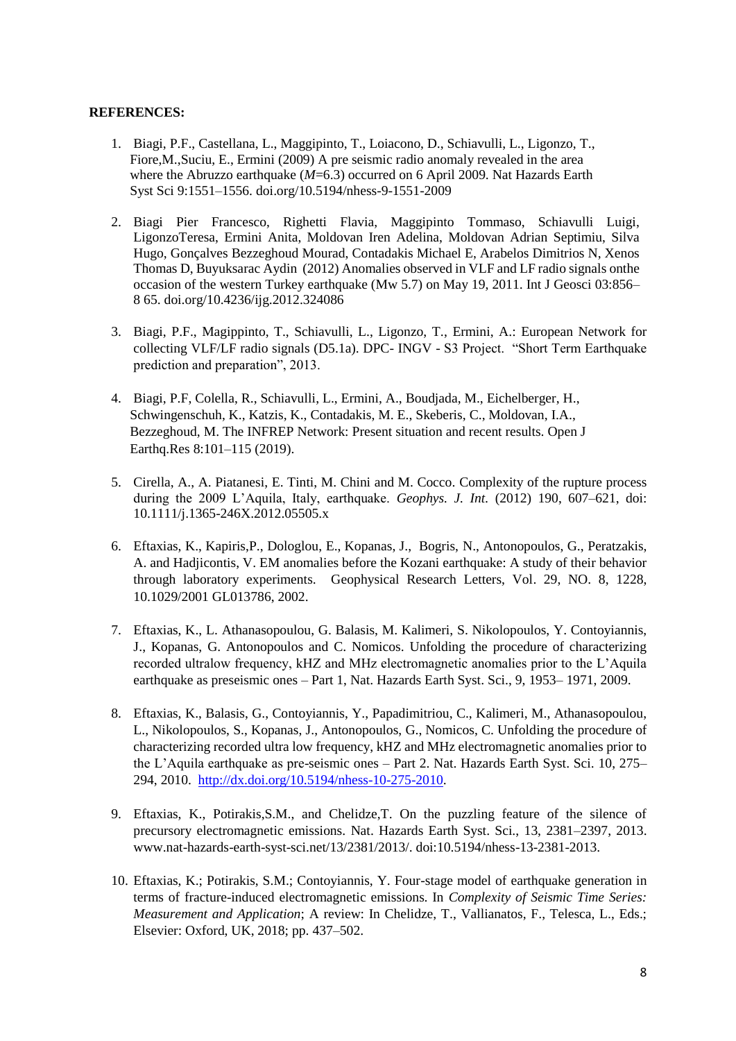# **REFERENCES:**

- 1. Biagi, P.F., Castellana, L., Maggipinto, T., Loiacono, D., Schiavulli, L., Ligonzo, T., Fiore,M.,Suciu, E., Ermini (2009) A pre seismic radio anomaly revealed in the area where the Abruzzo earthquake (*M*=6.3) occurred on 6 April 2009. Nat Hazards Earth Syst Sci 9:1551–1556. doi.org/10.5194/nhess-9-1551-2009
- 2. Biagi Pier Francesco, Righetti Flavia, Maggipinto Tommaso, Schiavulli Luigi, LigonzoTeresa, Ermini Anita, Moldovan Iren Adelina, Moldovan Adrian Septimiu, Silva Hugo, Gonçalves Bezzeghoud Mourad, Contadakis Michael E, Arabelos Dimitrios N, Xenos Thomas D, Buyuksarac Aydin (2012) Anomalies observed in VLF and LF radio signals onthe occasion of the western Turkey earthquake (Mw 5.7) on May 19, 2011. Int J Geosci 03:856– 8 65. doi.org/10.4236/ijg.2012.324086
- 3. Biagi, P.F., Magippinto, T., Schiavulli, L., Ligonzo, T., Ermini, A.: European Network for collecting VLF/LF radio signals (D5.1a). DPC- INGV - S3 Project. "Short Term Earthquake prediction and preparation", 2013.
- 4. Biagi, P.F, Colella, R., Schiavulli, L., Ermini, A., Boudjada, M., Eichelberger, H., Schwingenschuh, K., Katzis, K., Contadakis, M. E., Skeberis, C., Moldovan, I.A., Bezzeghoud, M. The INFREP Network: Present situation and recent results. Open J Earthq.Res 8:101–115 (2019).
- 5. Cirella, A., A. Piatanesi, E. Tinti, M. Chini and M. Cocco. Complexity of the rupture process during the 2009 L'Aquila, Italy, earthquake. *Geophys. J. Int.* (2012) 190, 607–621, doi: 10.1111/j.1365-246X.2012.05505.x
- 6. Eftaxias, K., Kapiris,P., Dologlou, E., Kopanas, J., Bogris, N., Antonopoulos, G., Peratzakis, A. and Hadjicontis, V. EM anomalies before the Kozani earthquake: A study of their behavior through laboratory experiments. Geophysical Research Letters, Vol. 29, NO. 8, 1228, 10.1029/2001 GL013786, 2002.
- 7. Eftaxias, K., L. Athanasopoulou, G. Balasis, M. Kalimeri, S. Nikolopoulos, Y. Contoyiannis, J., Kopanas, G. Antonopoulos and C. Nomicos. Unfolding the procedure of characterizing recorded ultralow frequency, kHZ and MHz electromagnetic anomalies prior to the L'Aquila earthquake as preseismic ones – Part 1, Nat. Hazards Earth Syst. Sci., 9, 1953– 1971, 2009.
- 8. Eftaxias, K., Balasis, G., Contoyiannis, Y., Papadimitriou, C., Kalimeri, M., Athanasopoulou, L., Nikolopoulos, S., Kopanas, J., Antonopoulos, G., Nomicos, C. Unfolding the procedure of characterizing recorded ultra low frequency, kHZ and MHz electromagnetic anomalies prior to the L'Aquila earthquake as pre-seismic ones – Part 2. Nat. Hazards Earth Syst. Sci. 10, 275– 294, 2010. [http://dx.doi.org/10.5194/nhess-10-275-2010.](http://dx.doi.org/10.5194/nhess-10-275-2010)
- 9. Eftaxias, K., Potirakis,S.M., and Chelidze,T. On the puzzling feature of the silence of precursory electromagnetic emissions. Nat. Hazards Earth Syst. Sci., 13, 2381–2397, 2013. www.nat-hazards-earth-syst-sci.net/13/2381/2013/. doi:10.5194/nhess-13-2381-2013.
- 10. Eftaxias, K.; Potirakis, S.M.; Contoyiannis, Y. Four-stage model of earthquake generation in terms of fracture-induced electromagnetic emissions. In *Complexity of Seismic Time Series: Measurement and Application*; A review: In Chelidze, T., Vallianatos, F., Telesca, L., Eds.; Elsevier: Oxford, UK, 2018; pp. 437–502.